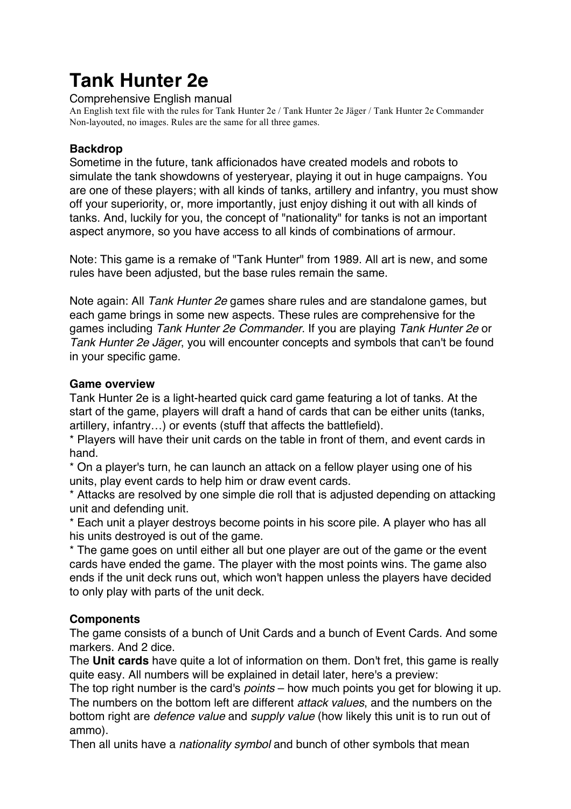# **Tank Hunter 2e**

Comprehensive English manual

An English text file with the rules for Tank Hunter 2e / Tank Hunter 2e Jäger / Tank Hunter 2e Commander Non-layouted, no images. Rules are the same for all three games.

## **Backdrop**

Sometime in the future, tank afficionados have created models and robots to simulate the tank showdowns of yesteryear, playing it out in huge campaigns. You are one of these players; with all kinds of tanks, artillery and infantry, you must show off your superiority, or, more importantly, just enjoy dishing it out with all kinds of tanks. And, luckily for you, the concept of "nationality" for tanks is not an important aspect anymore, so you have access to all kinds of combinations of armour.

Note: This game is a remake of "Tank Hunter" from 1989. All art is new, and some rules have been adjusted, but the base rules remain the same.

Note again: All *Tank Hunter 2e* games share rules and are standalone games, but each game brings in some new aspects. These rules are comprehensive for the games including *Tank Hunter 2e Commander*. If you are playing *Tank Hunter 2e* or *Tank Hunter 2e Jäger*, you will encounter concepts and symbols that can't be found in your specific game.

## **Game overview**

Tank Hunter 2e is a light-hearted quick card game featuring a lot of tanks. At the start of the game, players will draft a hand of cards that can be either units (tanks, artillery, infantry…) or events (stuff that affects the battlefield).

\* Players will have their unit cards on the table in front of them, and event cards in hand.

\* On a player's turn, he can launch an attack on a fellow player using one of his units, play event cards to help him or draw event cards.

\* Attacks are resolved by one simple die roll that is adjusted depending on attacking unit and defending unit.

\* Each unit a player destroys become points in his score pile. A player who has all his units destroyed is out of the game.

\* The game goes on until either all but one player are out of the game or the event cards have ended the game. The player with the most points wins. The game also ends if the unit deck runs out, which won't happen unless the players have decided to only play with parts of the unit deck.

# **Components**

The game consists of a bunch of Unit Cards and a bunch of Event Cards. And some markers. And 2 dice.

The **Unit cards** have quite a lot of information on them. Don't fret, this game is really quite easy. All numbers will be explained in detail later, here's a preview:

The top right number is the card's *points* – how much points you get for blowing it up. The numbers on the bottom left are different *attack values*, and the numbers on the bottom right are *defence value* and *supply value* (how likely this unit is to run out of ammo).

Then all units have a *nationality symbol* and bunch of other symbols that mean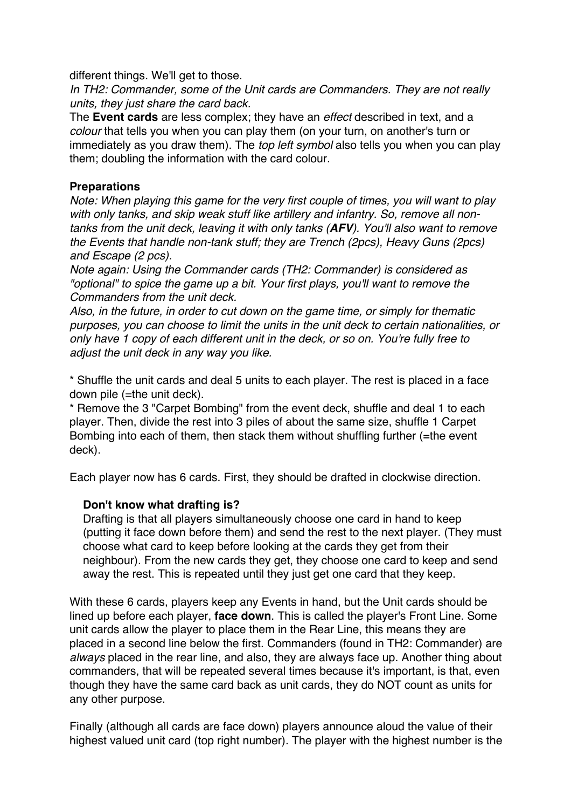different things. We'll get to those.

*In TH2: Commander, some of the Unit cards are Commanders. They are not really units, they just share the card back.*

The **Event cards** are less complex; they have an *effect* described in text, and a *colour* that tells you when you can play them (on your turn, on another's turn or immediately as you draw them). The *top left symbol* also tells you when you can play them; doubling the information with the card colour.

#### **Preparations**

*Note: When playing this game for the very first couple of times, you will want to play with only tanks, and skip weak stuff like artillery and infantry. So, remove all nontanks from the unit deck, leaving it with only tanks (AFV). You'll also want to remove the Events that handle non-tank stuff; they are Trench (2pcs), Heavy Guns (2pcs) and Escape (2 pcs).*

*Note again: Using the Commander cards (TH2: Commander) is considered as "optional" to spice the game up a bit. Your first plays, you'll want to remove the Commanders from the unit deck.*

*Also, in the future, in order to cut down on the game time, or simply for thematic purposes, you can choose to limit the units in the unit deck to certain nationalities, or only have 1 copy of each different unit in the deck, or so on. You're fully free to adjust the unit deck in any way you like.*

\* Shuffle the unit cards and deal 5 units to each player. The rest is placed in a face down pile (=the unit deck).

\* Remove the 3 "Carpet Bombing" from the event deck, shuffle and deal 1 to each player. Then, divide the rest into 3 piles of about the same size, shuffle 1 Carpet Bombing into each of them, then stack them without shuffling further (=the event deck).

Each player now has 6 cards. First, they should be drafted in clockwise direction.

# **Don't know what drafting is?**

Drafting is that all players simultaneously choose one card in hand to keep (putting it face down before them) and send the rest to the next player. (They must choose what card to keep before looking at the cards they get from their neighbour). From the new cards they get, they choose one card to keep and send away the rest. This is repeated until they just get one card that they keep.

With these 6 cards, players keep any Events in hand, but the Unit cards should be lined up before each player, **face down**. This is called the player's Front Line. Some unit cards allow the player to place them in the Rear Line, this means they are placed in a second line below the first. Commanders (found in TH2: Commander) are *always* placed in the rear line, and also, they are always face up. Another thing about commanders, that will be repeated several times because it's important, is that, even though they have the same card back as unit cards, they do NOT count as units for any other purpose.

Finally (although all cards are face down) players announce aloud the value of their highest valued unit card (top right number). The player with the highest number is the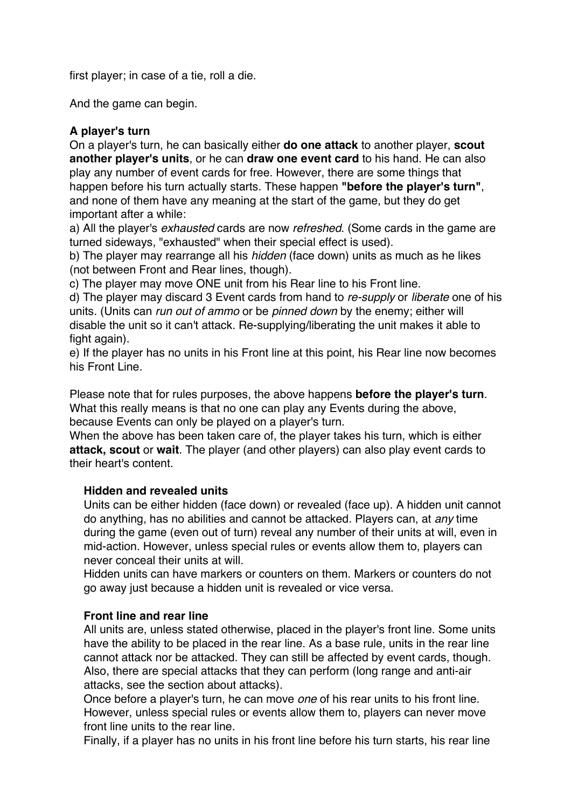first player; in case of a tie, roll a die.

And the game can begin.

#### **A player's turn**

On a player's turn, he can basically either **do one attack** to another player, **scout another player's units**, or he can **draw one event card** to his hand. He can also play any number of event cards for free. However, there are some things that happen before his turn actually starts. These happen **"before the player's turn"**, and none of them have any meaning at the start of the game, but they do get important after a while:

a) All the player's *exhausted* cards are now *refreshed*. (Some cards in the game are turned sideways, "exhausted" when their special effect is used).

b) The player may rearrange all his *hidden* (face down) units as much as he likes (not between Front and Rear lines, though).

c) The player may move ONE unit from his Rear line to his Front line.

d) The player may discard 3 Event cards from hand to *re-supply* or *liberate* one of his units. (Units can *run out of ammo* or be *pinned down* by the enemy; either will disable the unit so it can't attack. Re-supplying/liberating the unit makes it able to fight again).

e) If the player has no units in his Front line at this point, his Rear line now becomes his Front Line.

Please note that for rules purposes, the above happens **before the player's turn**. What this really means is that no one can play any Events during the above, because Events can only be played on a player's turn.

When the above has been taken care of, the player takes his turn, which is either **attack, scout** or **wait**. The player (and other players) can also play event cards to their heart's content.

#### **Hidden and revealed units**

Units can be either hidden (face down) or revealed (face up). A hidden unit cannot do anything, has no abilities and cannot be attacked. Players can, at *any* time during the game (even out of turn) reveal any number of their units at will, even in mid-action. However, unless special rules or events allow them to, players can never conceal their units at will.

Hidden units can have markers or counters on them. Markers or counters do not go away just because a hidden unit is revealed or vice versa.

# **Front line and rear line**

All units are, unless stated otherwise, placed in the player's front line. Some units have the ability to be placed in the rear line. As a base rule, units in the rear line cannot attack nor be attacked. They can still be affected by event cards, though. Also, there are special attacks that they can perform (long range and anti-air attacks, see the section about attacks).

Once before a player's turn, he can move *one* of his rear units to his front line. However, unless special rules or events allow them to, players can never move front line units to the rear line.

Finally, if a player has no units in his front line before his turn starts, his rear line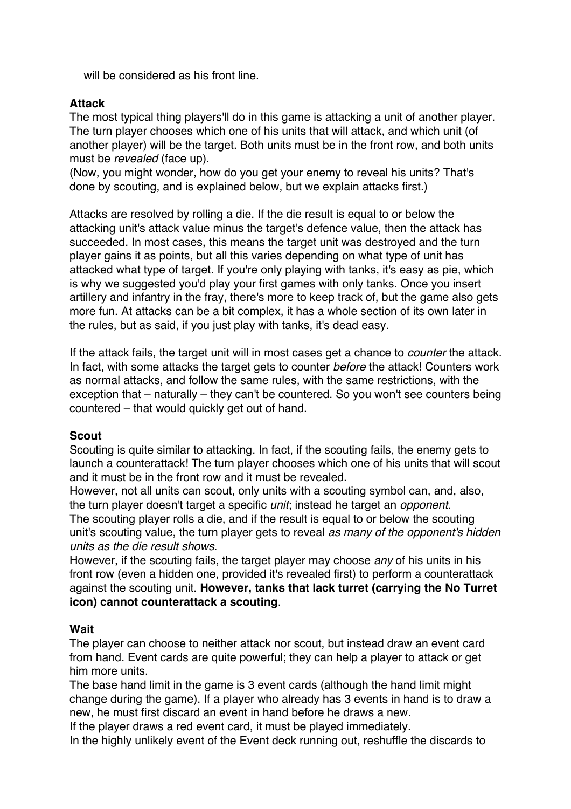will be considered as his front line.

## **Attack**

The most typical thing players'll do in this game is attacking a unit of another player. The turn player chooses which one of his units that will attack, and which unit (of another player) will be the target. Both units must be in the front row, and both units must be *revealed* (face up).

(Now, you might wonder, how do you get your enemy to reveal his units? That's done by scouting, and is explained below, but we explain attacks first.)

Attacks are resolved by rolling a die. If the die result is equal to or below the attacking unit's attack value minus the target's defence value, then the attack has succeeded. In most cases, this means the target unit was destroyed and the turn player gains it as points, but all this varies depending on what type of unit has attacked what type of target. If you're only playing with tanks, it's easy as pie, which is why we suggested you'd play your first games with only tanks. Once you insert artillery and infantry in the fray, there's more to keep track of, but the game also gets more fun. At attacks can be a bit complex, it has a whole section of its own later in the rules, but as said, if you just play with tanks, it's dead easy.

If the attack fails, the target unit will in most cases get a chance to *counter* the attack. In fact, with some attacks the target gets to counter *before* the attack! Counters work as normal attacks, and follow the same rules, with the same restrictions, with the exception that – naturally – they can't be countered. So you won't see counters being countered – that would quickly get out of hand.

#### **Scout**

Scouting is quite similar to attacking. In fact, if the scouting fails, the enemy gets to launch a counterattack! The turn player chooses which one of his units that will scout and it must be in the front row and it must be revealed.

However, not all units can scout, only units with a scouting symbol can, and, also, the turn player doesn't target a specific *unit*; instead he target an *opponent*.

The scouting player rolls a die, and if the result is equal to or below the scouting unit's scouting value, the turn player gets to reveal *as many of the opponent's hidden units as the die result shows*.

However, if the scouting fails, the target player may choose *any* of his units in his front row (even a hidden one, provided it's revealed first) to perform a counterattack against the scouting unit. **However, tanks that lack turret (carrying the No Turret icon) cannot counterattack a scouting**.

#### **Wait**

The player can choose to neither attack nor scout, but instead draw an event card from hand. Event cards are quite powerful; they can help a player to attack or get him more units.

The base hand limit in the game is 3 event cards (although the hand limit might change during the game). If a player who already has 3 events in hand is to draw a new, he must first discard an event in hand before he draws a new.

If the player draws a red event card, it must be played immediately.

In the highly unlikely event of the Event deck running out, reshuffle the discards to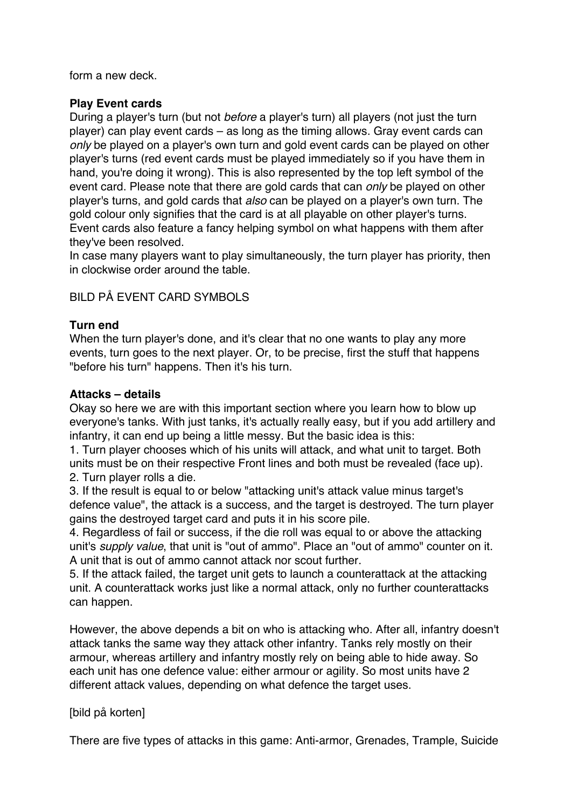form a new deck.

# **Play Event cards**

During a player's turn (but not *before* a player's turn) all players (not just the turn player) can play event cards – as long as the timing allows. Gray event cards can *only* be played on a player's own turn and gold event cards can be played on other player's turns (red event cards must be played immediately so if you have them in hand, you're doing it wrong). This is also represented by the top left symbol of the event card. Please note that there are gold cards that can *only* be played on other player's turns, and gold cards that *also* can be played on a player's own turn. The gold colour only signifies that the card is at all playable on other player's turns. Event cards also feature a fancy helping symbol on what happens with them after they've been resolved.

In case many players want to play simultaneously, the turn player has priority, then in clockwise order around the table.

# BILD PÅ EVENT CARD SYMBOLS

## **Turn end**

When the turn player's done, and it's clear that no one wants to play any more events, turn goes to the next player. Or, to be precise, first the stuff that happens "before his turn" happens. Then it's his turn.

## **Attacks – details**

Okay so here we are with this important section where you learn how to blow up everyone's tanks. With just tanks, it's actually really easy, but if you add artillery and infantry, it can end up being a little messy. But the basic idea is this:

1. Turn player chooses which of his units will attack, and what unit to target. Both units must be on their respective Front lines and both must be revealed (face up). 2. Turn player rolls a die.

3. If the result is equal to or below "attacking unit's attack value minus target's defence value", the attack is a success, and the target is destroyed. The turn player gains the destroyed target card and puts it in his score pile.

4. Regardless of fail or success, if the die roll was equal to or above the attacking unit's *supply value*, that unit is "out of ammo". Place an "out of ammo" counter on it. A unit that is out of ammo cannot attack nor scout further.

5. If the attack failed, the target unit gets to launch a counterattack at the attacking unit. A counterattack works just like a normal attack, only no further counterattacks can happen.

However, the above depends a bit on who is attacking who. After all, infantry doesn't attack tanks the same way they attack other infantry. Tanks rely mostly on their armour, whereas artillery and infantry mostly rely on being able to hide away. So each unit has one defence value: either armour or agility. So most units have 2 different attack values, depending on what defence the target uses.

# [bild på korten]

There are five types of attacks in this game: Anti-armor, Grenades, Trample, Suicide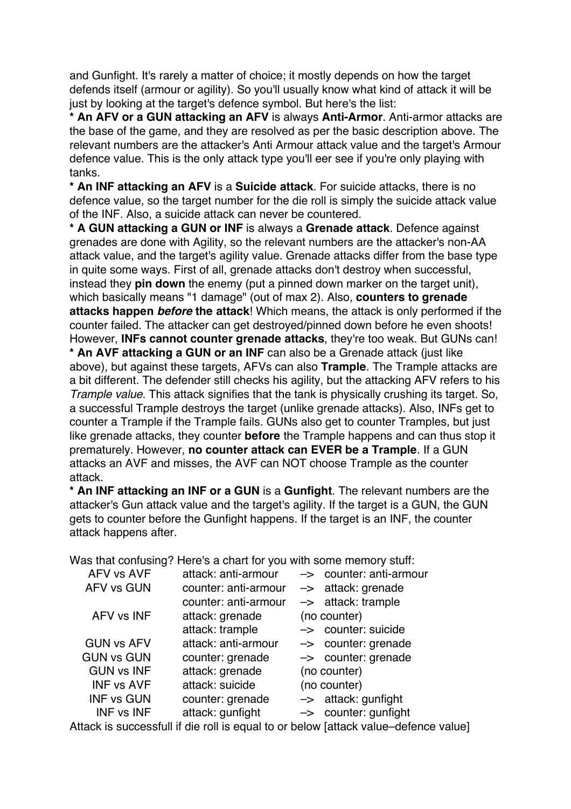and Gunfight. It's rarely a matter of choice; it mostly depends on how the target defends itself (armour or agility). So you'll usually know what kind of attack it will be just by looking at the target's defence symbol. But here's the list:

**\* An AFV or a GUN attacking an AFV** is always **Anti-Armor**. Anti-armor attacks are the base of the game, and they are resolved as per the basic description above. The relevant numbers are the attacker's Anti Armour attack value and the target's Armour defence value. This is the only attack type you'll eer see if you're only playing with tanks.

**\* An INF attacking an AFV** is a **Suicide attack**. For suicide attacks, there is no defence value, so the target number for the die roll is simply the suicide attack value of the INF. Also, a suicide attack can never be countered.

**\* A GUN attacking a GUN or INF** is always a **Grenade attack**. Defence against grenades are done with Agility, so the relevant numbers are the attacker's non-AA attack value, and the target's agility value. Grenade attacks differ from the base type in quite some ways. First of all, grenade attacks don't destroy when successful, instead they **pin down** the enemy (put a pinned down marker on the target unit), which basically means "1 damage" (out of max 2). Also, **counters to grenade attacks happen** *before* **the attack**! Which means, the attack is only performed if the counter failed. The attacker can get destroyed/pinned down before he even shoots! However, **INFs cannot counter grenade attacks**, they're too weak. But GUNs can! **\* An AVF attacking a GUN or an INF** can also be a Grenade attack (just like above), but against these targets, AFVs can also **Trample**. The Trample attacks are a bit different. The defender still checks his agility, but the attacking AFV refers to his *Trample value*. This attack signifies that the tank is physically crushing its target. So, a successful Trample destroys the target (unlike grenade attacks). Also, INFs get to counter a Trample if the Trample fails. GUNs also get to counter Tramples, but just like grenade attacks, they counter **before** the Trample happens and can thus stop it prematurely. However, **no counter attack can EVER be a Trample**. If a GUN attacks an AVF and misses, the AVF can NOT choose Trample as the counter attack.

**\* An INF attacking an INF or a GUN** is a **Gunfight**. The relevant numbers are the attacker's Gun attack value and the target's agility. If the target is a GUN, the GUN gets to counter before the Gunfight happens. If the target is an INF, the counter attack happens after.

Was that confusing? Here's a chart for you with some memory stuff:

| AFV vs AVF        | attack: anti-armour  | -> counter: anti-armour         |
|-------------------|----------------------|---------------------------------|
| <b>AFV vs GUN</b> | counter: anti-armour | $\rightarrow$ attack: grenade   |
|                   | counter: anti-armour | $\rightarrow$ attack: trample   |
| AFV vs INF        | attack: grenade      | (no counter)                    |
|                   | attack: trample      | -> counter: suicide             |
| <b>GUN vs AFV</b> | attack: anti-armour  | $\rightarrow$ counter: grenade  |
| <b>GUN vs GUN</b> | counter: grenade     | $\rightarrow$ counter: grenade  |
| <b>GUN vs INF</b> | attack: grenade      | (no counter)                    |
| <b>INF vs AVF</b> | attack: suicide      | (no counter)                    |
| <b>INF vs GUN</b> | counter: grenade     | $\rightarrow$ attack: gunfight  |
| <b>INF vs INF</b> | attack: gunfight     | $\rightarrow$ counter: gunfight |

Attack is successfull if die roll is equal to or below [attack value–defence value]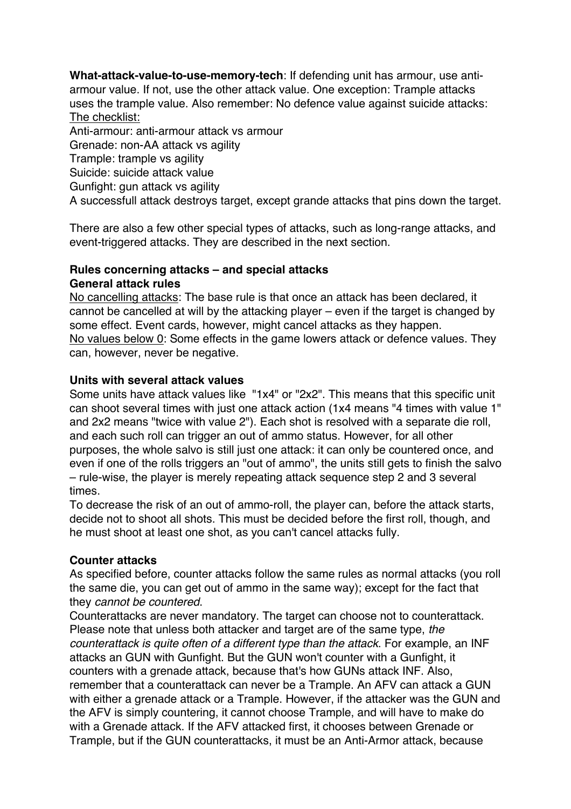**What-attack-value-to-use-memory-tech**: If defending unit has armour, use antiarmour value. If not, use the other attack value. One exception: Trample attacks uses the trample value. Also remember: No defence value against suicide attacks: The checklist:

Anti-armour: anti-armour attack vs armour Grenade: non-AA attack vs agility Trample: trample vs agility

Suicide: suicide attack value

Gunfight: gun attack vs agility

A successfull attack destroys target, except grande attacks that pins down the target.

There are also a few other special types of attacks, such as long-range attacks, and event-triggered attacks. They are described in the next section.

## **Rules concerning attacks – and special attacks General attack rules**

No cancelling attacks: The base rule is that once an attack has been declared, it cannot be cancelled at will by the attacking player – even if the target is changed by some effect. Event cards, however, might cancel attacks as they happen. No values below 0: Some effects in the game lowers attack or defence values. They can, however, never be negative.

# **Units with several attack values**

Some units have attack values like "1x4" or "2x2". This means that this specific unit can shoot several times with just one attack action (1x4 means "4 times with value 1" and 2x2 means "twice with value 2"). Each shot is resolved with a separate die roll, and each such roll can trigger an out of ammo status. However, for all other purposes, the whole salvo is still just one attack: it can only be countered once, and even if one of the rolls triggers an "out of ammo", the units still gets to finish the salvo – rule-wise, the player is merely repeating attack sequence step 2 and 3 several times.

To decrease the risk of an out of ammo-roll, the player can, before the attack starts, decide not to shoot all shots. This must be decided before the first roll, though, and he must shoot at least one shot, as you can't cancel attacks fully.

# **Counter attacks**

As specified before, counter attacks follow the same rules as normal attacks (you roll the same die, you can get out of ammo in the same way); except for the fact that they *cannot be countered*.

Counterattacks are never mandatory. The target can choose not to counterattack. Please note that unless both attacker and target are of the same type, *the counterattack is quite often of a different type than the attack*. For example, an INF attacks an GUN with Gunfight. But the GUN won't counter with a Gunfight, it counters with a grenade attack, because that's how GUNs attack INF. Also, remember that a counterattack can never be a Trample. An AFV can attack a GUN with either a grenade attack or a Trample. However, if the attacker was the GUN and the AFV is simply countering, it cannot choose Trample, and will have to make do with a Grenade attack. If the AFV attacked first, it chooses between Grenade or Trample, but if the GUN counterattacks, it must be an Anti-Armor attack, because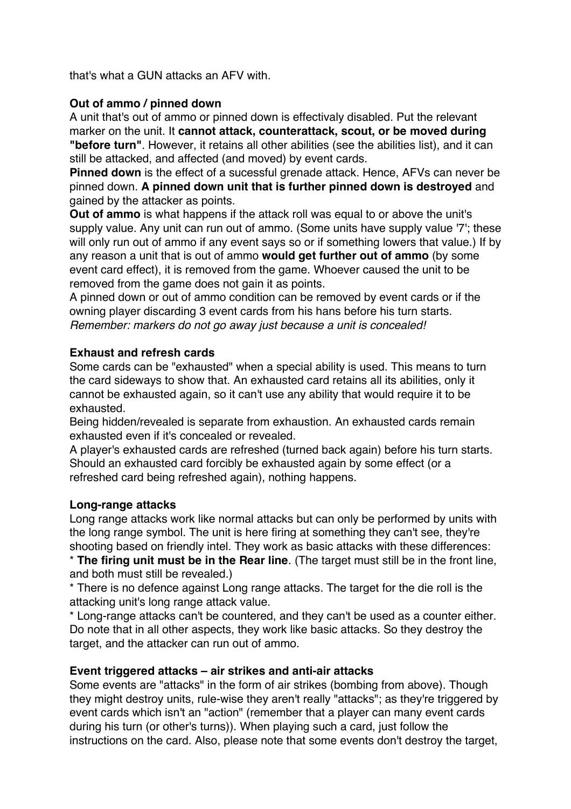that's what a GUN attacks an AFV with.

# **Out of ammo / pinned down**

A unit that's out of ammo or pinned down is effectivaly disabled. Put the relevant marker on the unit. It **cannot attack, counterattack, scout, or be moved during "before turn"**. However, it retains all other abilities (see the abilities list), and it can still be attacked, and affected (and moved) by event cards.

**Pinned down** is the effect of a sucessful grenade attack. Hence, AFVs can never be pinned down. **A pinned down unit that is further pinned down is destroyed** and gained by the attacker as points.

**Out of ammo** is what happens if the attack roll was equal to or above the unit's supply value. Any unit can run out of ammo. (Some units have supply value '7'; these will only run out of ammo if any event says so or if something lowers that value.) If by any reason a unit that is out of ammo **would get further out of ammo** (by some event card effect), it is removed from the game. Whoever caused the unit to be removed from the game does not gain it as points.

A pinned down or out of ammo condition can be removed by event cards or if the owning player discarding 3 event cards from his hans before his turn starts. *Remember: markers do not go away just because a unit is concealed!*

# **Exhaust and refresh cards**

Some cards can be "exhausted" when a special ability is used. This means to turn the card sideways to show that. An exhausted card retains all its abilities, only it cannot be exhausted again, so it can't use any ability that would require it to be exhausted.

Being hidden/revealed is separate from exhaustion. An exhausted cards remain exhausted even if it's concealed or revealed.

A player's exhausted cards are refreshed (turned back again) before his turn starts. Should an exhausted card forcibly be exhausted again by some effect (or a refreshed card being refreshed again), nothing happens.

# **Long-range attacks**

Long range attacks work like normal attacks but can only be performed by units with the long range symbol. The unit is here firing at something they can't see, they're shooting based on friendly intel. They work as basic attacks with these differences:

\* **The firing unit must be in the Rear line**. (The target must still be in the front line, and both must still be revealed.)

\* There is no defence against Long range attacks. The target for the die roll is the attacking unit's long range attack value.

\* Long-range attacks can't be countered, and they can't be used as a counter either. Do note that in all other aspects, they work like basic attacks. So they destroy the target, and the attacker can run out of ammo.

# **Event triggered attacks – air strikes and anti-air attacks**

Some events are "attacks" in the form of air strikes (bombing from above). Though they might destroy units, rule-wise they aren't really "attacks"; as they're triggered by event cards which isn't an "action" (remember that a player can many event cards during his turn (or other's turns)). When playing such a card, just follow the instructions on the card. Also, please note that some events don't destroy the target,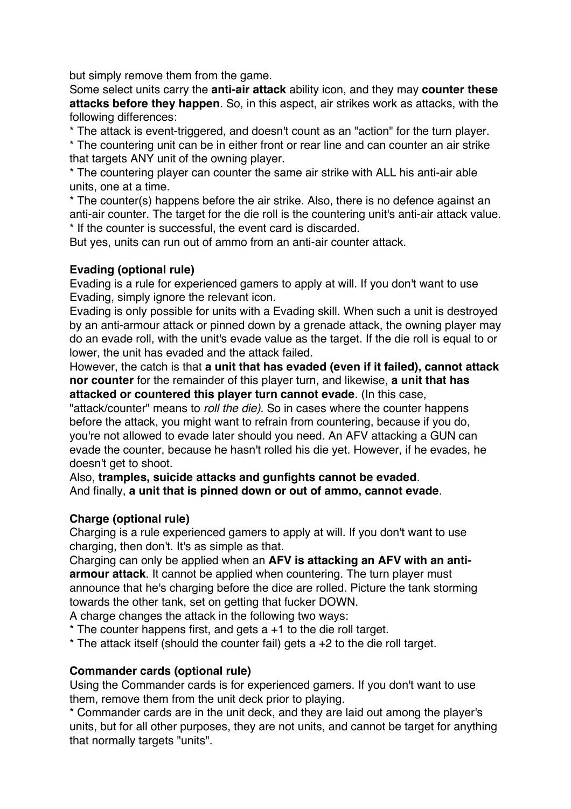but simply remove them from the game.

Some select units carry the **anti-air attack** ability icon, and they may **counter these attacks before they happen**. So, in this aspect, air strikes work as attacks, with the following differences:

\* The attack is event-triggered, and doesn't count as an "action" for the turn player.

\* The countering unit can be in either front or rear line and can counter an air strike that targets ANY unit of the owning player.

\* The countering player can counter the same air strike with ALL his anti-air able units, one at a time.

\* The counter(s) happens before the air strike. Also, there is no defence against an anti-air counter. The target for the die roll is the countering unit's anti-air attack value. \* If the counter is successful, the event card is discarded.

But yes, units can run out of ammo from an anti-air counter attack.

## **Evading (optional rule)**

Evading is a rule for experienced gamers to apply at will. If you don't want to use Evading, simply ignore the relevant icon.

Evading is only possible for units with a Evading skill. When such a unit is destroyed by an anti-armour attack or pinned down by a grenade attack, the owning player may do an evade roll, with the unit's evade value as the target. If the die roll is equal to or lower, the unit has evaded and the attack failed.

However, the catch is that **a unit that has evaded (even if it failed), cannot attack nor counter** for the remainder of this player turn, and likewise, **a unit that has attacked or countered this player turn cannot evade**. (In this case,

"attack/counter" means to *roll the die)*. So in cases where the counter happens before the attack, you might want to refrain from countering, because if you do, you're not allowed to evade later should you need. An AFV attacking a GUN can evade the counter, because he hasn't rolled his die yet. However, if he evades, he doesn't get to shoot.

Also, **tramples, suicide attacks and gunfights cannot be evaded**. And finally, **a unit that is pinned down or out of ammo, cannot evade**.

# **Charge (optional rule)**

Charging is a rule experienced gamers to apply at will. If you don't want to use charging, then don't. It's as simple as that.

Charging can only be applied when an **AFV is attacking an AFV with an antiarmour attack**. It cannot be applied when countering. The turn player must announce that he's charging before the dice are rolled. Picture the tank storming towards the other tank, set on getting that fucker DOWN.

A charge changes the attack in the following two ways:

- $*$  The counter happens first, and gets a  $+1$  to the die roll target.
- $*$  The attack itself (should the counter fail) gets a  $+2$  to the die roll target.

#### **Commander cards (optional rule)**

Using the Commander cards is for experienced gamers. If you don't want to use them, remove them from the unit deck prior to playing.

\* Commander cards are in the unit deck, and they are laid out among the player's units, but for all other purposes, they are not units, and cannot be target for anything that normally targets "units".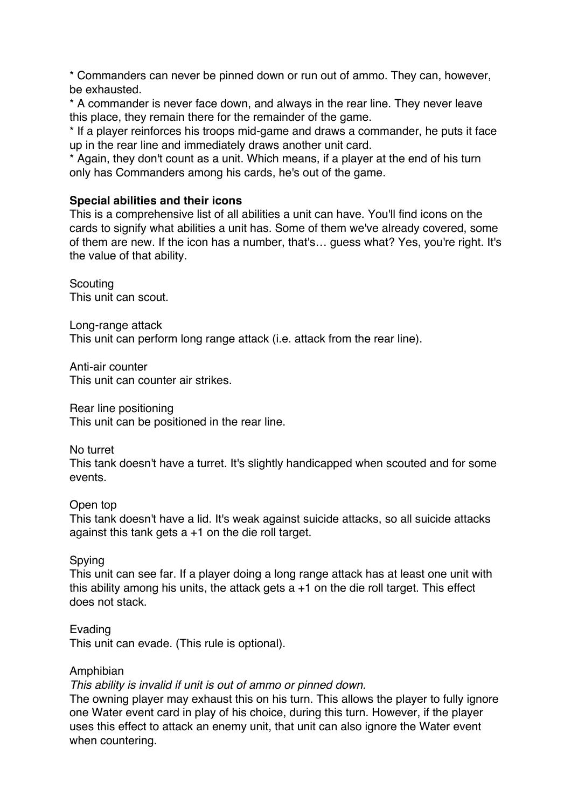\* Commanders can never be pinned down or run out of ammo. They can, however, be exhausted.

\* A commander is never face down, and always in the rear line. They never leave this place, they remain there for the remainder of the game.

\* If a player reinforces his troops mid-game and draws a commander, he puts it face up in the rear line and immediately draws another unit card.

\* Again, they don't count as a unit. Which means, if a player at the end of his turn only has Commanders among his cards, he's out of the game.

#### **Special abilities and their icons**

This is a comprehensive list of all abilities a unit can have. You'll find icons on the cards to signify what abilities a unit has. Some of them we've already covered, some of them are new. If the icon has a number, that's… guess what? Yes, you're right. It's the value of that ability.

**Scouting** This unit can scout.

Long-range attack This unit can perform long range attack (i.e. attack from the rear line).

Anti-air counter This unit can counter air strikes.

Rear line positioning This unit can be positioned in the rear line.

No turret

This tank doesn't have a turret. It's slightly handicapped when scouted and for some events.

# Open top

This tank doesn't have a lid. It's weak against suicide attacks, so all suicide attacks against this tank gets a +1 on the die roll target.

# Spying

This unit can see far. If a player doing a long range attack has at least one unit with this ability among his units, the attack gets  $a + 1$  on the die roll target. This effect does not stack.

# Evading

This unit can evade. (This rule is optional).

#### Amphibian

*This ability is invalid if unit is out of ammo or pinned down.* 

The owning player may exhaust this on his turn. This allows the player to fully ignore one Water event card in play of his choice, during this turn. However, if the player uses this effect to attack an enemy unit, that unit can also ignore the Water event when countering.